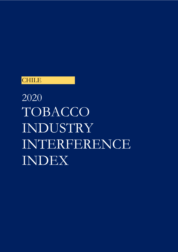# **CHILE**

2020 TOBACCO INDUSTRY INTERFERENCE INDEX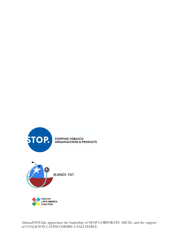





AlianzaENTChile appreciates the leadership of STOP CORPORATE ABUSE, and the support of COALICION LATINOAMERICA SALUDABLE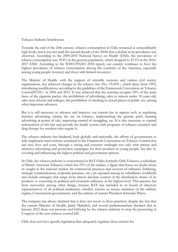Tobacco Industry Interference

Towards the end of the 20th century, tobacco consumption in Chile remained at extraordinarily high levels, and it was not until the second decade of the 2000s that a decline in its prevalence was observed. According to the 2009-2010 National Survey on Health (ENS), the prevalence of tobacco consumption was 39.8% in the general population<sup>1</sup>, which dropped to 33.3% in the 2016-2017 ENS<sup>2</sup>. According to the WHO/PAHO 2018 report, our country continues to have the highest prevalence of tobacco consumption among the countries of the Americas, especially among young people (women) and those with limited resources<sup>3</sup>

The Ministry of Health, with the support of scientific societies and various civil society organizations, has achieved changes in the tobacco law (No. 19,419)<sup>4</sup>, which dates from 1995, introducing modifications, according to the guidelines of the Framework Convention on Tobacco Control(FCTC)<sup> $\frac{1}{5}$ </sup> in 2006 and 2013. It was achieved that the warning occupies 50% of the main faces of the cigarette packet, the prohibition of advertising, sales to minors under 18 years old, sales near schools and colleges, the prohibition of smoking in closed places of public use, among other important advances.

But it is still necessary to advance and improve our current law in aspects such as regulating Internet advertising, raising the tax on tobacco, implementing the generic pack, banning advertising at points of sale, improving control of smuggling, etc. It is also necessary to expand enforcement of this law and provide the health system with programs of tobacco cessation and drug therapy for smokers who require it.

The tobacco industry has hindered, both globally and nationally, the efforts of governments to fully implement interventions contained in the Framework Convention on Tobacco Control that can save lives and costs, through a strong and constant onslaught not only with intense and attractive advertising and promotion campaigns for their products in young people, but also by covering and influencing the highest political and government spheres.

In Chile, the tobacco industry is concentrated in BAT Chile6 formerly Chile Tobacco, a subsidiary of British American Tobacco) which has 93% of the market, a figure that leaves no doubt about its weight in the national market. Its commercial practices and exercise of influence (lobbying, strategic communication, corporate presence, etc.) are repeated among its subsidiaries worldwide and include strategies that range from almost absolute control of the distribution chains of its products to exercising its political and economic influence at the highest level. This practice has been successful, among other things, because BAT has included in its board of directors representatives of all political tendencies, whether current or recent, ministers of the military regime, Concertación governments, and the cabinet of current President Sebastián Piñera.

The company has always declared that it does not resort to these practices, despite the fact that the current Minister of Health, Jaime Mañalich, and several parliamentarians declared that in January 2012 there was pressure and lobbying by the tobacco industry to stop the processing in Congress of the new tobacco control bill<sup>7</sup>.

Chile does not have specific legislation that adequately regulates these actions for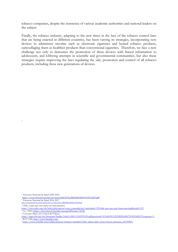tobacco companies, despite the insistence of various academic authorities and national leaders on the subject

Finally, the tobacco industry, adapting to the new times in the face of the tobacco control laws that are being enacted in different countries, has been varying its strategies, incorporating new devices to administer nicotine such as electronic cigarettes and heated tobacco products, camouflaging them as healthier products than conventional cigarettes, Therefore, we face a new challenge not only to denounce the promotion of these devices with biased information to adolescents, and lobbying attempts in scientific and governmental communities, but also these strategies require improving the laws regulating the sale, promotion and control of all tobacco products, including these new generations of devices.

-

[https://www.minsal.cl/wp-content/uploads/2017/11/ENS-2016-17\\_PRIMEROS-RESULTADOS.pdf](about:blank)

<sup>1</sup> Encuesta Nacional de Salud 2009-2010

[https://www.minsal.cl/portal/url/item/bcb03d7bc28b64dfe040010165012d23.pdf](about:blank)

<sup>2</sup> Encuesta Nacional de Salud 2016-2017

<sup>3</sup> Chile, el pais que mas fuma en Latinoamerica

[https://www.paho.org/chi/index.php?option=com\\_content&view=article&id=325:chile-pais-que-mas-fuma-america&Itemid=215](about:blank)

<sup>4</sup> Ley 19419, [https://www.bcn.cl/leychile/navegar?idNorma=30786](about:blank)

<sup>5</sup> Convenio Marco de Control del Tabaco

[https://apps.who.int/iris/bitstream/handle/10665/42813/9243591010.pdf;jsessionid=E3160C85123295D5E6D475F20594EF47?sequence=1](about:blank) <sup>6</sup> BAT Chile [http://www.batchile.com/](about:blank)

<sup>7</sup> [https://www.cnnchile.com/lodijeronencnn/ministro-manalich-lobby-tabaco-lado-oscuro-fuerza-amenazas\\_20190906/](about:blank)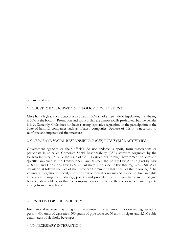Summary of results

# 1. INDUSTRY PARTICIPATION IN POLICY DEVELOPMENT

Chile has a high tax on tobacco, it also has a 100% smoke-free indoor legislation, the labeling is 50% at the bottom. Promotion and sponsorship are almost totally prohibited, but the penalty is low. Currently, Chile does not have a strong legislative regulation on the participation in the State of harmful companies such as tobacco companies. Because of this, it is necessary to reinforce and improve existing measures

# 2. CORPORATE SOCIAL RESPONSIBILITY (CSR) INDUSTRIAL ACTIVITIES

Government agencies or their officials do not endorse, support, form associations or participate in so-called Corporate Social Responsability (CSR) activities organized by the tobacco industry. In Chile the issue of CSR is carried out through government policies and specific laws such as the Transparency Law 20.285 <sup>8</sup>, the Lobby Law 20.730<sup>9</sup> , Probity Law 20.880<sup>10</sup>, and Donations Law 19.885<sup>11</sup>, but there is no specific law that regulates CSR. As a definition, it follows the idea of the European Community that specifies the following: "The voluntary integration of social, labor and environmental concerns and respect for human rights in business management, strategy, policies and procedures arises from transparent dialogue between stakeholders, so that the company is responsible for the consequences and impacts arising from their actions".

# 3. BENEFITS FOR THE INDUSTRY

International travelers may bring into the country up to an amount not exceeding, per adult person, 400 units of cigarettes, 500 grams of pipe tobacco, 50 units of cigars and 2,500 cubic centimeters of alcoholic beverages.

#### 4. UNNECESSARY INTERACTION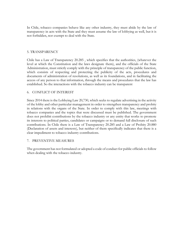In Chile, tobacco companies behave like any other industry, they must abide by the law of transparency in acts with the State and they must assume the law of lobbying as well, but it is not forbidden, nor exempt to deal with the State.

#### 5. TRANSPARENCY

Chile has a Law of Transparency 20.285 , which specifies that the authorities, (whatever the level at which the Constitution and the laws designate them), and the officials of the State Administration, must strictly comply with the principle of transparency of the public function, which consists of respecting and protecting the publicity of the acts, procedures and documents of administration of resolutions, as well as its foundations, and in facilitating the access of any person to that information, through the means and procedures that the law has established. So the interactions with the tobacco industry can be transparent

#### 6. CONFLICT OF INTEREST

Since 2014 there is the Lobbying Law 20,730, which seeks to regulate advertising in the activity of the lobby and other particular management in order to strengthen transparency and probity in relations with the organs of the State. In order to comply with this law, meetings with tobacco companies and the topics that were discussed must be published. The government does not prohibit contributions by the tobacco industry or any entity that works to promote its interests to political parties, candidates or campaigns or to demand full disclosure of such contributions. In Chile there is a Law of Transparency 20.285 and a Law of Probity 20.880 (Declaration of assets and interests), but neither of them specifically indicates that there is a clear impediment to tobacco industry contributions.

#### 7. PREVENTIVE MEASURES

The government has not formulated or adopted a code of conduct for public officials to follow when dealing with the tobacco industry.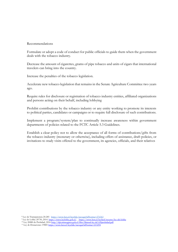#### Recommendations

Formulate or adopt a code of conduct for public officials to guide them when the government deals with the tobacco industry.

Decrease the amount of cigarettes, grams of pipe tobacco and units of cigars that international travelers can bring into the country.

Increase the penalties of the tobacco legislation.

Accelerate new tobacco legislation that remains in the Senate Agriculture Committee two years ago.

Require rules for disclosure or registration of tobacco industry entities, affiliated organizations and persons acting on their behalf, including lobbying

Prohibit contributions by the tobacco industry or any entity working to promote its interests to political parties, candidates or campaigns or to require full disclosure of such contributions.

Implement a program/system/plan to continually increase awareness within government departments of policies related to the FCTC Article 5.3 Guidelines.

Establish a clear policy not to allow the acceptance of all forms of contributions/gifts from the tobacco industry (monetary or otherwise), including offers of assistance, draft policies, or invitations to study visits offered to the government, its agencies, officials, and their relatives

<sup>8</sup> Ley de Transparencia 20.285 [https://www.bcn.cl/leychile/navegar?idNorma=276363](about:blank)

- <sup>9</sup> Ley de Lobby 20730, 2014[. https://www.leylobby.gob.cl/ , https://www.bcn.cl/leyfacil/recurso/ley-del-lobby](about:blank)
- <sup>10</sup> Ley 20880 de Probidad, 201[6 http://dpi.minsegpres.gob.cl/files/Manual-ley-de%20probidad.pdf](about:blank)

<sup>11</sup> Ley de Donaciones 1988[5 https://www.bcn.cl/leychile/navegar?idNorma=213294](about:blank)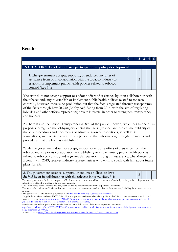# **Results**

| <b>INDICATOR 1: Level of industry participation in policy development</b>                                                                                                                                                                                                                                                                                                                                                                                                                                                |  |   |  |  |
|--------------------------------------------------------------------------------------------------------------------------------------------------------------------------------------------------------------------------------------------------------------------------------------------------------------------------------------------------------------------------------------------------------------------------------------------------------------------------------------------------------------------------|--|---|--|--|
| 1. The government accepts, supports, or endorses any offer of<br>assistance from or in collaboration with the tobacco industry to<br>establish or implement public health policies related to tobacco<br>control (Rec 3.1)                                                                                                                                                                                                                                                                                               |  | 2 |  |  |
| The state does not accept, support or endorse offers of assistance by or in collaboration with<br>the tobacco industry to establish or implement public health policies related to tobacco<br>control <sup>44</sup> , however, there is no prohibition but that the fact is regulated through transparency<br>of the facts through Law 20.730 (Lobby Act) dating from 2014, with the aim of regulating<br>lobbying and other efforts representing private interests, in order to strengthen transparency<br>and honesty. |  |   |  |  |
| 2.-There is also the Law of Transparency 20.880 of the public function, which has as one of its<br>purposes to regulate the lobbying evidencing the facts , (Respect and protect the publicity of<br>the acts, procedures and documents of administration of resolutions, as well as its<br>foundations, and facilitate access to any person to that information, through the means and<br>procedures that the law has established)                                                                                      |  |   |  |  |
| While the government does not accept, support or endorse offers of assistance from the<br>tobacco industry or its collaboration in establishing or implementing public health policies<br>related to tobacco control, and regulates this situation through transparency: The Minister of<br>Economy in 2019, receives industry representatives who wish to speak with him about future<br>plans for PM <sup>7</sup>                                                                                                      |  |   |  |  |
| 2. The government accepts, supports or endorses policies or laws<br>drafted by or in collaboration with the tobacco industry. (Rec. 3.4)                                                                                                                                                                                                                                                                                                                                                                                 |  | 2 |  |  |

<sup>1</sup>The term "government" refers to any public official, whether or not he acts within the purview of authority, as long as he is disguised with that authority or is offered to another as having such authority.

- <sup>4</sup> Ministro Santelices Dia Mundial sin Fumar 201[9 http://portal.nexnews.cl/showN?valor=byby3](about:blank)
- 5 Jorge Irribarra, Gerente General BAT Chile : Nosotros por una decision unilateral del gobierno de Chile no tenemos acceso a hablar con la autoridad de salud .<u>https://www.futuro.cl/2019/09/jorge-irribarra-gerente-general-de-la-bat-chile-nosotros-por-una-decision-unilateral-del-</u> [gobierno-de-chile-no-tenemos-acceso-a-hablar-con-la-autoridad-de-salud/](about:blank)

<sup>6</sup>Manalich vuelve a decir que el lobby por el tabaco esta en el lado oscuro de la fuerza y que no lo amenacen [https://web.archive.org/web/20190920153445/https://www.cnnchile.com/lodijeronencnn/ministro-manalich-lobby-tabaco-lado-oscuro-](about:blank)

[fuerza-amenazas\\_20190906/](about:blank)

<sup>2</sup>The "offer of assistance" may include bills, technical inputs, recommendations and supervised study visits

<sup>3</sup>The term "tobacco industry" includes those who represent their interests or work to advance their interests, including the state-owned tobacco industry.

<sup>7</sup>Audiencias 201[9 https://www.leylobby.gob.cl/instituciones/AH001/audiencias/2019/173920/318408](about:blank)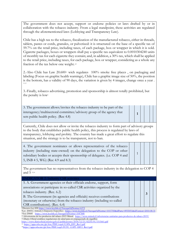The government does not accept, support or endorse policies or laws drafted by or in collaboration with the tobacco industry. From a legal standpoint, these activities are regulated through the aforementioned laws (Lobbying and Transparency Law).

Chile has a high tax to the tobacco, fiscalization of the manufactured tobacco, either in threads, tablets, pastes or cords, granules, or pulverized: it is structured on the base of a specific tax of 59.7% on the retail price, including taxes, of each package, box or wrapper in which it is sold. Cigarette packages, boxes or wrappers shall pay a specific tax equivalent to 0.0010304240 units of monthly tax for each cigarette they contain; and, in addition, a 30% tax, which shall be applied to the retail price, including taxes, for each package, box or wrapper, considering as a whole any fraction of the tax below one weight. 8,9

2.-Also Chile has Law  $20.600$ <sup>10</sup> wich regulates  $100\%$  smoke free places, on packaging and labeling (Focus on graphic health warnings), Chile has a graphic image size of 50%, the position is the bottom, has a validity of 90 days, the variation is given by 4 images, change once a year . 11,12

3.-Finally, tobacco advertising, promotion and sponsorship is almost totally prohibited, but the penalty is low<sup>4</sup>

| 3. The government allows/invites the tobacco industry to be part of the |  |  |  |
|-------------------------------------------------------------------------|--|--|--|
| interagency/multisectoral committee/advisory group of the agency that   |  |  |  |
| sets public health policy. (Rec 4.8)                                    |  |  |  |

Currently, Chile does not allow or invite the tobacco industry to form part of advisory groups to the body that establishes public health policy, this process is regulated by laws of transparency, lobbying and probity. The country has made a great effort to regulate this situation, and the strategy is to be transparent, not to ban.

| 4. The government nominates or allows representatives of the tobacco         |  |
|------------------------------------------------------------------------------|--|
| industry (including state-owned) on the delegation to the COP or other       |  |
| subsidiary bodies or accepts their sponsorship of delegates. (i.e. COP 4 and |  |
| 5, INB 4 5, WG) (Rec 4.9 and 8.3)                                            |  |

The government has no representatives from the tobacco industry in the delegation to COP 4 and 5 13,14

1

| <b>INDICATOR 2: Industry CSR activities</b>                              |  |  |  |
|--------------------------------------------------------------------------|--|--|--|
| 5. A. Government agencies or their officials endorse, support, form      |  |  |  |
| associations or participate in so-called CSR activities organized by the |  |  |  |
| tobacco industry. (Rec. 6.2)                                             |  |  |  |
| B. The Government (its agencies and officials) receives contributions    |  |  |  |
| (monetary or otherwise) from the tobacco industry (including so-called   |  |  |  |
| CSR contributions). (Rec. 6.4)                                           |  |  |  |

<sup>8</sup>Decreto Ley 82[8 https://www.leychile.cl/Navegar?idNorma=6372](about:blank) <sup>9</sup>Ley 20455| Artículo 6 Impuesto Especifico [https://www.leychile.cl/Navegar?idNorma=1015783&idParte=8955051&idVersion=2010-08-31](about:blank)

<sup>10</sup>Ley 20660 [https://www.leychile.cl/Navegar?idNorma=1047848](about:blank)

<sup>11</sup>Advertencias de los productos del tabaco 2019 Minsal [https://www.minsal.cl/advertencias-sanitarias-para-productos-de-tabaco-2019/](about:blank)

<sup>12</sup> Diario Oficial establece regulaciones de salud para en empaquetado de cigarillos<br>https://www.diariooficial.interior.gob.cl/publicaciones/2018/12/21/42235/01/1515661.pdf https://www.diariooficial.interior.gob.cl/publicaciones/2018/12/21/4223

<sup>13</sup> [https://apps.who.int/gb/fctc/PDF/cop4/COP4\\_DIV\\_Rev1.pdf](about:blank)

<sup>14</sup>[https://apps.who.int/gb/fctc/PDF/cop5/FCTC\\_COP5\\_DIV1\\_Rev1.pdf](about:blank)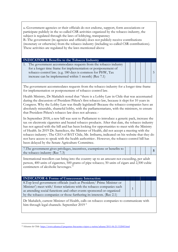| a.-Government agencies or their officials do not endorse, support, form associations or<br>participate publicly in the so-called CSR activities organized by the tobacco industry, the<br>subject is regulated through the laws of lobbying, transparency<br>B.-The government (its agencies and officials) does not publicly receive contributions<br>(monetary or otherwise) from the tobacco industry (including so-called CSR contributions).<br>These activities are regulated by the laws mentioned above                                                                                                                                                                    |   |  |   |
|------------------------------------------------------------------------------------------------------------------------------------------------------------------------------------------------------------------------------------------------------------------------------------------------------------------------------------------------------------------------------------------------------------------------------------------------------------------------------------------------------------------------------------------------------------------------------------------------------------------------------------------------------------------------------------|---|--|---|
| <b>INDICATOR 3: Benefits to the Tobacco Industry</b>                                                                                                                                                                                                                                                                                                                                                                                                                                                                                                                                                                                                                               |   |  |   |
| The government accommodates requests from the tobacco industry<br>1.<br>for a longer time frame for implementation or postponement of<br>tobacco control law. (e.g. 180 days is common for PHW, Tax<br>increase can be implemented within 1 month) (Rec 7.1)                                                                                                                                                                                                                                                                                                                                                                                                                       |   |  | 5 |
| The government accommodates requests from the tobacco industry for a longer time frame<br>for implementation or postponement of tobacco control law.                                                                                                                                                                                                                                                                                                                                                                                                                                                                                                                               |   |  |   |
| Health Ministry, Dr Mañalich noted that "there is a Lobby Law in Chile that was accentuated<br>during the discussion of President Piñera's first tobacco law, because it slept for 10 years in<br>Congress. Why the Lobby Law was finally legislated? Because the tobacco companies have an<br>absolutely miserable, shameful lobby, with the parliamentarians, with the ministers, to ensure<br>that President Piñera's tobacco law does not advance.                                                                                                                                                                                                                             |   |  |   |
| In September 2018, a new bill was sent to Parliament to introduce a generic pack, increase the<br>tax on electronic cigarettes and heated tobacco products. After that date, the tobacco industry<br>has not agreed with the bill and has been looking for opportunities to meet with the Ministry<br>of Health. In 2019 Dr. Santelices, the Minister of Health, did not accept a meeting with the<br>tobacco industry <sup>4</sup> . The CEO of BAT Chile, Mr. Irribarra, indicated on his website that they do<br>not have access to speak with the health authorities <sup>5</sup> . However, the tobacco control bill has<br>been delayed by the Senate Agriculture Committee. |   |  |   |
| 7. The government gives privileges, incentives, exemptions or benefits to<br>the tobacco industry (Rec 7.3)                                                                                                                                                                                                                                                                                                                                                                                                                                                                                                                                                                        |   |  | 5 |
| International travellers can bring into the country up to an amount not exceeding, per adult<br>person, 400 units of cigarettes, 500 grams of pipe tobacco; 50 units of cigars and 2,500 cubic<br>centimeters of alcoholic beverages. <sup>15</sup>                                                                                                                                                                                                                                                                                                                                                                                                                                |   |  |   |
| <b>INDICATOR 4: Forms of Unnecessary Interaction</b>                                                                                                                                                                                                                                                                                                                                                                                                                                                                                                                                                                                                                               |   |  |   |
| 8. Top level government officials (such as President/ Prime Minister or<br>Minister <sup>1</sup> ) meet with/ foster relations with the tobacco companies such<br>as attending social functions and other events sponsored or organized<br>by the tobacco companies or those furthering its interests. (Rec 2.1)                                                                                                                                                                                                                                                                                                                                                                   | 1 |  |   |
| Dr Mañalich, current Minister of Health, calls on tobacco companies to communicate with<br>him through legal channels. September 2019 <sup>6</sup>                                                                                                                                                                                                                                                                                                                                                                                                                                                                                                                                 |   |  |   |

 $\overline{a}$ <sup>15</sup> Aduanas de Chile [https://www.aduana.cl/preguntas-frecuentes-viajero-y-turista/aduana/2011-06-21/152845.html](about:blank)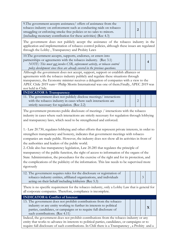| 9. The government accepts assistance/ offers of assistance from the<br>tobacco industry on enforcement such as conducting raids on tobacco<br>smuggling or enforcing smoke free policies or no sales to minors.<br>(including monetary contribution for these activities) (Rec 4.3)                                                                                                                                                                                                                                                                                                                                                                                                                                                                      |  | $\overline{2}$ |   |                |  |
|----------------------------------------------------------------------------------------------------------------------------------------------------------------------------------------------------------------------------------------------------------------------------------------------------------------------------------------------------------------------------------------------------------------------------------------------------------------------------------------------------------------------------------------------------------------------------------------------------------------------------------------------------------------------------------------------------------------------------------------------------------|--|----------------|---|----------------|--|
| The government does not publicly accept the assistance of the tobacco industry in the<br>application and implementation of tobacco control policies, although these issues are regulated<br>through the Lobby, Transparency and Probity Laws                                                                                                                                                                                                                                                                                                                                                                                                                                                                                                             |  |                |   |                |  |
| 10. The government accepts, supports, endorses, or enters into<br>partnerships or agreements with the tobacco industry. (Rec 3.1)<br>NOTE: This must not involve CSR, enforcement activity, or tobacco control<br>policy development since these are already covered in the previous questions.                                                                                                                                                                                                                                                                                                                                                                                                                                                          |  |                |   | $\overline{4}$ |  |
| Although the government does not accept, support, support or establish alliances or<br>agreements with the tobacco industry publicly and regulate these situations through<br>transparency, the Economy minister receives a delegation of companies with a view to the<br>APEC Chile 2019 sum16,17 Philip Morris International was one of them. Finally, APEC 2019 was<br>not held in Chile.                                                                                                                                                                                                                                                                                                                                                             |  |                |   |                |  |
| <b>INDICATOR 5: Transparency</b><br>11. The government does not publicly disclose meetings/interactions<br>with the tobacco industry in cases where such interactions are<br>strictly necessary for regulation. (Rec 2.2)                                                                                                                                                                                                                                                                                                                                                                                                                                                                                                                                |  | 2              |   |                |  |
| The government promotes public disclosure of meetings / interactions with the tobacco<br>industry in cases where such interactions are strictly necessary for regulation through lobbying<br>and transparency laws, which need to be strengthened and enforced.                                                                                                                                                                                                                                                                                                                                                                                                                                                                                          |  |                |   |                |  |
| 1.- Law 20.730, regulates lobbying and other efforts that represent private interests, in order to<br>strengthen transparency and honesty, indicates that government meetings with tobacco<br>companies are made public. However, the industry does not show all its activities in front of<br>the authorities and leaders of the public world.<br>2.-Chile also has transparency legislation, Law 20.285 that regulates the principle of<br>transparency of the public function, the right of access to information of the organs of the<br>State Administration, the procedures for the exercise of the right and for its protection, and<br>the complications of the publicity of the information. This law needs to be supervised more<br>rigorously |  |                |   |                |  |
| 12. The government requires rules for the disclosure or registration of<br>tobacco industry entities, affiliated organizations, and individuals<br>acting on their behalf including lobbyists (Rec 5.3)                                                                                                                                                                                                                                                                                                                                                                                                                                                                                                                                                  |  |                | 3 |                |  |
| There is no specific requirement for the tobacco industry, only a Lobby Law that is general for<br>all corporate companies. Therefore, compliance is incomplete.                                                                                                                                                                                                                                                                                                                                                                                                                                                                                                                                                                                         |  |                |   |                |  |
| <b>INDICATOR 6: Conflict of Interest</b>                                                                                                                                                                                                                                                                                                                                                                                                                                                                                                                                                                                                                                                                                                                 |  |                |   |                |  |
| 13. The government does not prohibit contributions from the tobacco<br>industry or any entity working to further its interests to political<br>parties, candidates, or campaigns or to require full disclosure of<br>such contributions. (Rec 4.11)                                                                                                                                                                                                                                                                                                                                                                                                                                                                                                      |  |                |   | X              |  |
| Indeed, the government does not prohibit contributions from the tobacco industry or any<br>entity that works to advance its interests to political parties, candidates, or campaigns or to<br>require full disclosure of such contributions. In Chili there is a Transparency, a Probity and a                                                                                                                                                                                                                                                                                                                                                                                                                                                           |  |                |   |                |  |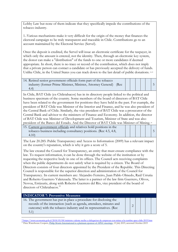Lobby Law but none of them indicate that they specifically impede the contributions of the tobacco industry.

1.-Various mechanisms make it very difficult for the origin of the money that finances the electoral campaign to be truly transparent and traceable in Chile. Contributions go to an account maintained by the Electoral Service (Servel).

Once the deposit is credited, the Servel will issue an electronic certificate for the taxpayer, in which only the amount is entered, not the identity. Then, through an electronic key system, the donor can make a "distribution" of the funds to one or more candidates if deemed appropriate. In short, there is no trace or record of the contribution, which does not imply that a private person can contact a candidate or has previously accepted the delivery of funds. Unlike Chile, in the United States you can track down to the last detail of public donations. 16,18

14. Retired senior government officials form part of the tobacco industry (former Prime Minister, Minister, Attorney General) (Rec 4.4)

5

5

In Chile, BAT Chile (ex-Chiletabacos) has in its directory people linked to the political and business spectrum of the country. Some members of the board of directors of BAT Chile have been related to the government for positions they have held in the past. For example, the president of BAT Chile was Minister of the Interior and Finance, and he was also president of the Central Bank of Chile. Similarly, the vice president of BAT Chile was a prosecutor of the Central Bank and advisor to the ministers of Finance and Economy. In addition, the director of BAT Chile was Minister of Development and Tourism, Minister of State and was also president of the Banco del Estado. And the Director of BAT Chile was Minister of Mining. <sup>18</sup> 15. Current government officials and relatives hold positions in the

tobacco business including consultancy positions. (Rec 4.5, 4.8, 4.10)

The Law 20.285: Public Transparency and Access to Information (2009) has a relevant impact on the country's reputation, which is why it gets a score of 5.

The law created the Council for Transparency, an entity that must ensure compliance with the law. To request information, it can be done through the website of the institution or by requesting the respective body in one of its offices. The Council acts receiving complaints when the public departments do not satisfy what is required by a citizen. The Board of Directors consists of four directors appointed by the President of the Republic. This Directing Council is responsible for the superior direction and administration of the Council for Transparency. Its current members are: Alejandro Ferreiro, Juan Pablo Olmedo, Raúl Urrutia and Roberto Guerrero Valenzuela. The latter is a partner of the law firm Guerrero, Olivos, Novoa, Errázuriz, along with Roberto Guerrero del Río, vice president of the board of directors of Chiletabacos<sup>33</sup>

# **INDICATOR 7: Preventive Measures**

 $\overline{a}$ 

16. The government has put in place a procedure for disclosing the records of the interaction (such as agenda, attendees, minutes and outcome) with the tobacco industry and its representatives. (Rec 5.1)



<sup>16</sup>[https://www.economia.gob.cl/2018/05/08/ministro-valente-recibe-a-delegacion-de-empresas-con-miras-a-la-cumbre-apec-chile-2019.htm](about:blank) <sup>17</sup> Price Waterhouse Coopers, <u>Philip Morris International is a platinum sponsor of APEC meetings</u>, 15 July 2019, accessed October 2019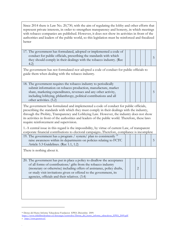| represent private interests, in order to strengthen transparency and honesty, in which meetings<br>with tobacco companies are published. However, it does not show its activities in front of the<br>authorities and leaders of the public world, so this legislation must be reinforced and fiscalized<br>better                           |  |                | Since 2014 there is Law No. 20,730, with the aim of regulating the lobby and other efforts that |   |
|---------------------------------------------------------------------------------------------------------------------------------------------------------------------------------------------------------------------------------------------------------------------------------------------------------------------------------------------|--|----------------|-------------------------------------------------------------------------------------------------|---|
| 17. The government has formulated, adopted or implemented a code of<br>conduct for public officials, prescribing the standards with which<br>they should comply in their dealings with the tobacco industry. (Rec<br>(4.2)                                                                                                                  |  |                |                                                                                                 | 5 |
| The government has not formulated nor adopted a code of conduct for public officials to<br>guide them when dealing with the tobacco industry.                                                                                                                                                                                               |  |                |                                                                                                 |   |
| 18. The government requires the tobacco industry to periodically<br>submit information on tobacco production, manufacture, market<br>share, marketing expenditures, revenues and any other activity,<br>including lobbying, philanthropy, political contributions and all<br>other activities. (5.2)                                        |  |                |                                                                                                 | 5 |
| The government has formulated and implemented a code of conduct for public officials,<br>prescribing the standards with which they must comply in their dealings with the industry,<br>through the Probity, Transparency and Lobbying Law. However, the industry does not show                                                              |  |                |                                                                                                 |   |
| its activities in front of the authorities and leaders of the public world. Therefore, these laws<br>require reinforcement and supervision.                                                                                                                                                                                                 |  |                |                                                                                                 |   |
| 1.-A central issue in this regard is the impossibility, by virtue of current Law, of transparent                                                                                                                                                                                                                                            |  |                |                                                                                                 |   |
| corporate financial contributions to electoral campaigns. Therefore, compliance is incomplete<br>19. The government has a program / system/ plan to consistently <sup>35</sup><br>raise awareness within its departments on policies relating to FCTC<br>Article 5.3 Guidelines. (Rec 1.1, 1.2)                                             |  |                |                                                                                                 | 5 |
| There is nothing about it.                                                                                                                                                                                                                                                                                                                  |  |                |                                                                                                 |   |
| 20. The government has put in place a policy to disallow the acceptance<br>of all forms of contributions/ gifts from the tobacco industry<br>(monetary or otherwise) including offers of assistance, policy drafts,<br>or study visit invitations given or offered to the government, its<br>agencies, officials and their relatives. (3.4) |  | $\overline{2}$ |                                                                                                 |   |

<sup>18</sup>Detras del Humo Informe Tabacaleras Fundacion EPES .Diciembre 2009.

 $\overline{a}$ 

.

[https://www.chilelibredetabaco.cl/descargas/centrodoc/Detras\\_del\\_humo\\_informe\\_tabacaleras\\_EPES\\_2009.pdf.](about:blank) 19 [https://www.guerrero.cl/](about:blank)